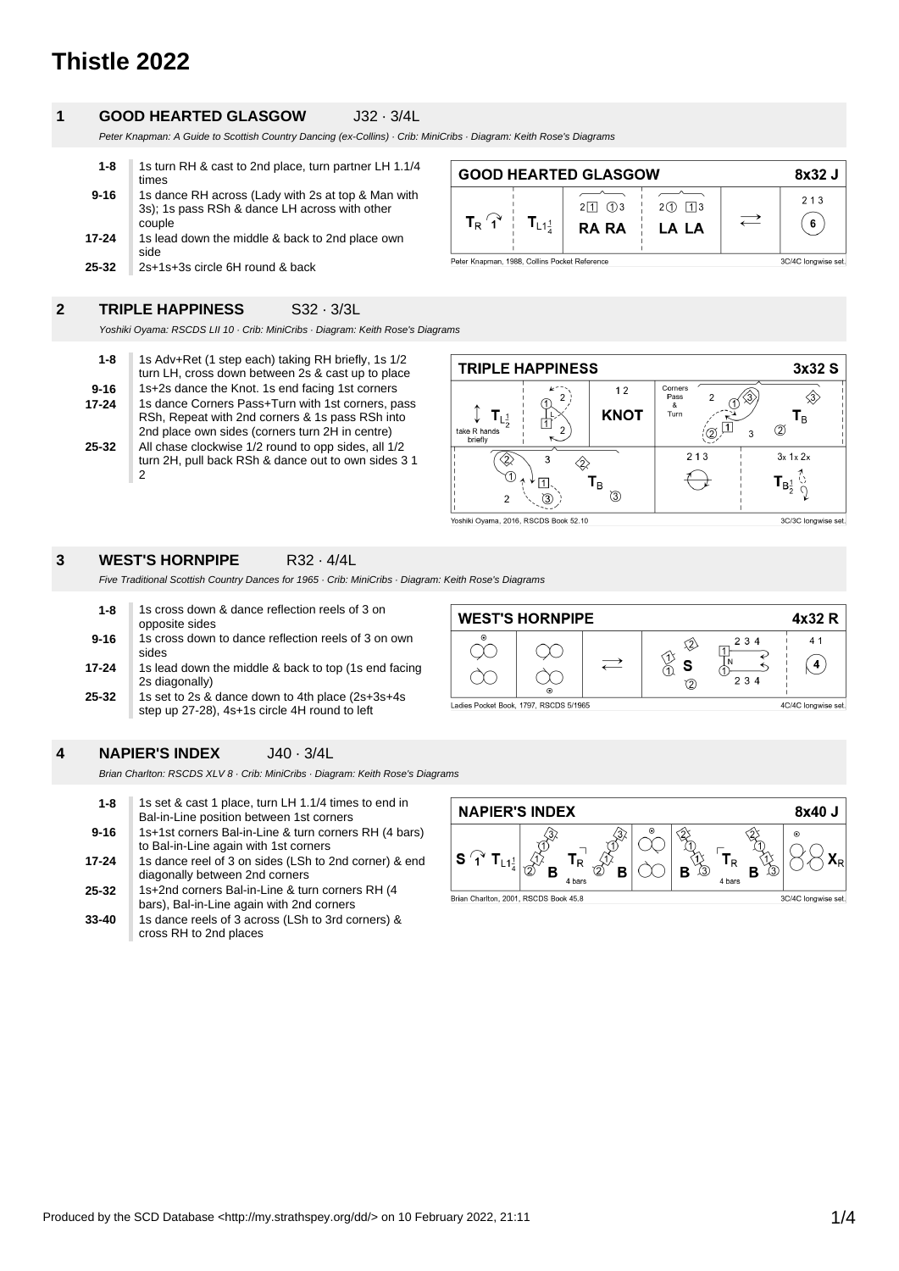# **Thistle 2022**

### **1 GOOD HEARTED GLASGOW** J32 · 3/4L

Peter Knapman: A Guide to Scottish Country Dancing (ex-Collins) · Crib: MiniCribs · Diagram: Keith Rose's Diagrams

| $1 - 8$  | 1s turn RH & cast to 2nd place, turn partner LH 1.1/4 |
|----------|-------------------------------------------------------|
|          | times                                                 |
| $9 - 16$ | 1s dance RH across (Lady with 2s at top & Man with    |
|          | 3s); 1s pass RSh & dance LH across with other         |
|          | couple                                                |
| 17-24    | 1s lead down the middle & back to 2nd place own       |
|          | side                                                  |
| 25-32    | 2s+1s+3s circle 6H round & back                       |

|                                                                      |                                             | <b>GOOD HEARTED GLASGOW</b>         |                     | 8x32 J   |
|----------------------------------------------------------------------|---------------------------------------------|-------------------------------------|---------------------|----------|
| $T_R$ $\hat{A}$                                                      | $\mathsf{T}_{\mathsf{L1}^{\hspace{.2mm}1}}$ | $2 \mid 1 \mid (1)$<br><b>RA RA</b> | $2(1)$ 113<br>LA LA | 213<br>6 |
| Peter Knapman, 1988, Collins Pocket Reference<br>3C/4C longwise set. |                                             |                                     |                     |          |

### **2 TRIPLE HAPPINESS** S32 · 3/3L

Yoshiki Oyama: RSCDS LII 10 · Crib: MiniCribs · Diagram: Keith Rose's Diagrams

| $1 - 8$   | 1s Adv+Ret (1 step each) taking RH briefly, 1s 1/2<br>turn LH, cross down between 2s & cast up to place                                                 |
|-----------|---------------------------------------------------------------------------------------------------------------------------------------------------------|
| $9 - 16$  | 1s+2s dance the Knot. 1s end facing 1st corners                                                                                                         |
| $17 - 24$ | 1s dance Corners Pass+Turn with 1st corners, pass<br>RSh, Repeat with 2nd corners & 1s pass RSh into<br>2nd place own sides (corners turn 2H in centre) |
| 25-32     | All chase clockwise 1/2 round to opp sides, all 1/2<br>turn 2H, pull back RSh & dance out to own sides 3 1<br>2                                         |

| <b>TRIPLE HAPPINESS</b>                                                |                                   | 3x32 S                |
|------------------------------------------------------------------------|-----------------------------------|-----------------------|
| 12<br><b>KNOT</b><br>$L_{\frac{1}{2}}$<br>っ<br>take R hands<br>briefly | Corners<br>Pass<br>2<br>&<br>Turn | l <sub>B</sub><br>2   |
| (1)<br>ι <sub>Β</sub><br>③<br>2                                        | 213                               | $3x$ 1x $2x$<br>$B^1$ |

### **3 WEST'S HORNPIPE** R32 · 4/4L

Five Traditional Scottish Country Dances for 1965 · Crib: MiniCribs · Diagram: Keith Rose's Diagrams

| $1 - 8$  | 1s cross down & dance reflection reels of 3 on<br>opposite sides                                   |
|----------|----------------------------------------------------------------------------------------------------|
| $9 - 16$ | 1s cross down to dance reflection reels of 3 on own<br>sides                                       |
| 17-24    | 1s lead down the middle & back to top (1s end facing<br>2s diagonally)                             |
| 25-32    | 1s set to 2s & dance down to 4th place (2s+3s+4s)<br>step up 27-28), 4s+1s circle 4H round to left |



### **4 NAPIER'S INDEX** J40 · 3/4L

Brian Charlton: RSCDS XLV 8 · Crib: MiniCribs · Diagram: Keith Rose's Diagrams

| $1 - 8$   | 1s set & cast 1 place, turn LH 1.1/4 times to end in<br>Bal-in-Line position between 1st corners |
|-----------|--------------------------------------------------------------------------------------------------|
| $9 - 16$  | 1s+1st corners Bal-in-Line & turn corners RH (4 bars)<br>to Bal-in-Line again with 1st corners   |
| 17-24     | 1s dance reel of 3 on sides (LSh to 2nd corner) & end<br>diagonally between 2nd corners          |
| $25 - 32$ | 1s+2nd corners Bal-in-Line & turn corners RH (4<br>bars), Bal-in-Line again with 2nd corners     |
| $33 - 40$ | 1s dance reels of 3 across (LSh to 3rd corners) &<br>cross RH to 2nd places                      |

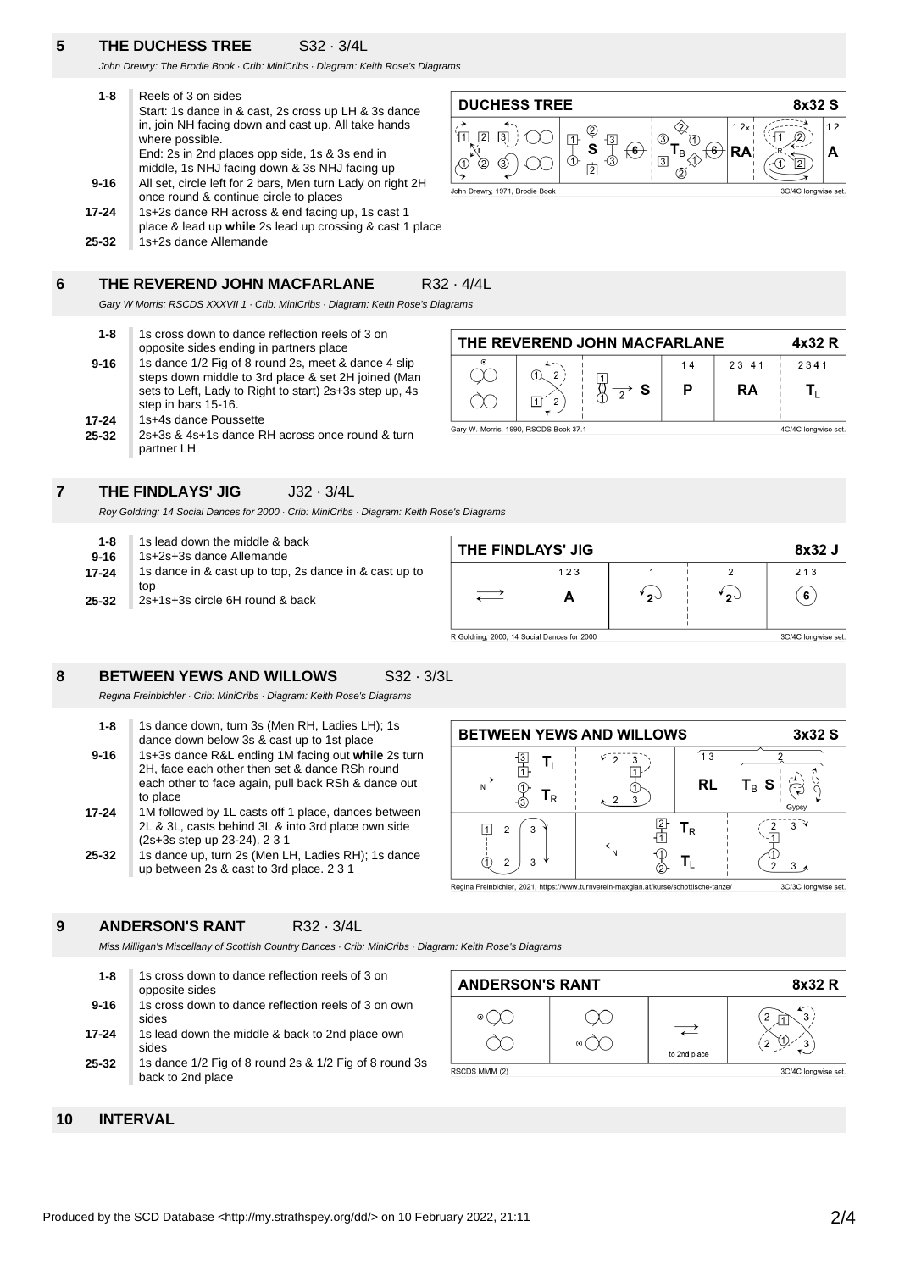## **5 THE DUCHESS TREE** S32 · 3/4L

John Drewry: The Brodie Book · Crib: MiniCribs · Diagram: Keith Rose's Diagrams

| $1 - 8$   | Reels of 3 on sides                                                    |
|-----------|------------------------------------------------------------------------|
|           | Start: 1s dance in & cast, 2s cross up LH & 3s dance                   |
|           | in, join NH facing down and cast up. All take hands<br>where possible. |
|           | End: 2s in 2nd places opp side, 1s & 3s end in                         |
|           | middle, 1s NHJ facing down & 3s NHJ facing up                          |
| $9 - 16$  | All set, circle left for 2 bars, Men turn Lady on right 2H             |
|           | once round & continue circle to places                                 |
| $17 - 24$ | 1s+2s dance RH across & end facing up, 1s cast 1                       |
|           | place & lead up while 2s lead up crossing & cast 1 place               |
| 25-32     | 1s+2s dance Allemande                                                  |

#### **6 THE REVEREND JOHN MACFARLANE** R32 · 4/4L

Gary W Morris: RSCDS XXXVII 1 · Crib: MiniCribs · Diagram: Keith Rose's Diagrams

| $1 - 8$   | 1s cross down to dance reflection reels of 3 on<br>opposite sides ending in partners place                                                                                                   |
|-----------|----------------------------------------------------------------------------------------------------------------------------------------------------------------------------------------------|
| $9 - 16$  | 1s dance 1/2 Fig of 8 round 2s, meet & dance 4 slip<br>steps down middle to 3rd place & set 2H joined (Man<br>sets to Left, Lady to Right to start) 2s+3s step up, 4s<br>step in bars 15-16. |
| 17-24     | 1s+4s dance Poussette                                                                                                                                                                        |
| $25 - 32$ | 2s+3s & 4s+1s dance RH across once round & turn<br>partner LH                                                                                                                                |





### **7 THE FINDLAYS' JIG** J32 · 3/4L

Roy Goldring: 14 Social Dances for 2000 · Crib: MiniCribs · Diagram: Keith Rose's Diagrams

| $1 - 8$  | 1s lead down the middle & back                                |
|----------|---------------------------------------------------------------|
| $9 - 16$ | 1s+2s+3s dance Allemande                                      |
| 17-24    | 1s dance in & cast up to top, 2s dance in & cast up to<br>top |
| 25-32    | 2s+1s+3s circle 6H round & back                               |

| THE FINDLAYS' JIG                           |     |    | 8x32 J              |
|---------------------------------------------|-----|----|---------------------|
|                                             | 123 |    | 213                 |
|                                             |     | っこ | 6                   |
| R Goldring, 2000, 14 Social Dances for 2000 |     |    | 3C/4C longwise set. |

### **8 BETWEEN YEWS AND WILLOWS** S32 · 3/3L

Regina Freinbichler · Crib: MiniCribs · Diagram: Keith Rose's Diagrams

| $1 - 8$   | 1s dance down, turn 3s (Men RH, Ladies LH); 1s      |
|-----------|-----------------------------------------------------|
|           | dance down below 3s & cast up to 1st place          |
| $9 - 16$  | 1s+3s dance R&L ending 1M facing out while 2s turn  |
|           | 2H, face each other then set & dance RSh round      |
|           |                                                     |
|           | each other to face again, pull back RSh & dance out |
|           | to place                                            |
| $17 - 24$ | 1M followed by 1L casts off 1 place, dances between |
|           | 2L & 3L, casts behind 3L & into 3rd place own side  |
|           |                                                     |
|           | (2s+3s step up 23-24). 2 3 1                        |
| $25 - 32$ | 1s dance up, turn 2s (Men LH, Ladies RH); 1s dance  |
|           | up between 2s & cast to 3rd place. 2 3 1            |
|           |                                                     |



### **ANDERSON'S RANT** R32 · 3/4L

Miss Milligan's Miscellany of Scottish Country Dances · Crib: MiniCribs · Diagram: Keith Rose's Diagrams

**25-32 17-24 9-16 1-8** 1s cross down to dance reflection reels of 3 on opposite sides 1s cross down to dance reflection reels of 3 on own sides 1s lead down the middle & back to 2nd place own sides 1s dance 1/2 Fig of 8 round 2s & 1/2 Fig of 8 round 3s back to 2nd place



**10 INTERVAL**

**9**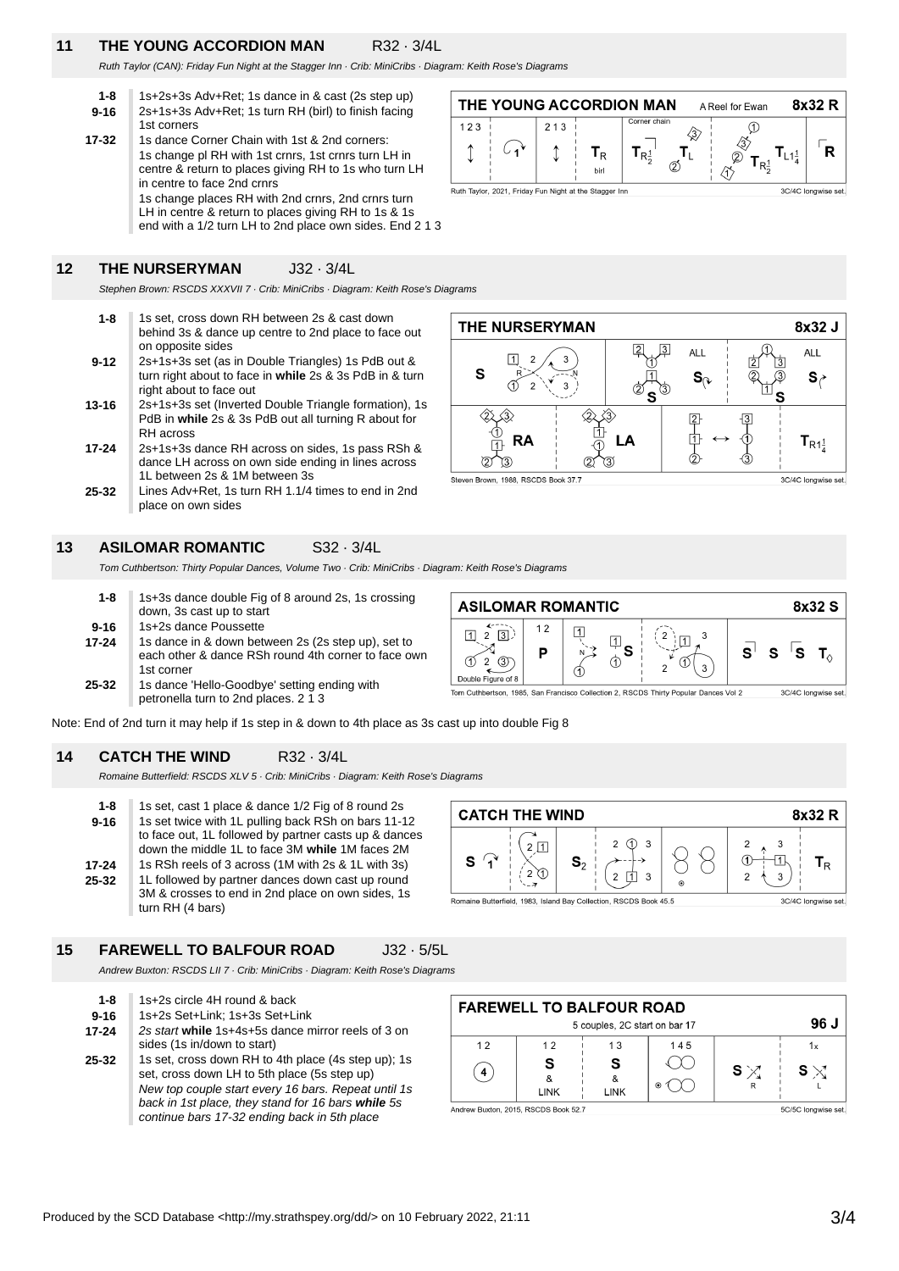### **11 THE YOUNG ACCORDION MAN** R32 · 3/4L

Ruth Taylor (CAN): Friday Fun Night at the Stagger Inn · Crib: MiniCribs · Diagram: Keith Rose's Diagrams

- **9-16 1-8** 1s+2s+3s Adv+Ret; 1s dance in & cast (2s step up) 2s+1s+3s Adv+Ret; 1s turn RH (birl) to finish facing 1st corners
- **17-32** 1s dance Corner Chain with 1st & 2nd corners: 1s change pl RH with 1st crnrs, 1st crnrs turn LH in centre & return to places giving RH to 1s who turn LH in centre to face 2nd crnrs 1s change places RH with 2nd crnrs, 2nd crnrs turn LH in centre & return to places giving RH to 1s & 1s end with a 1/2 turn LH to 2nd place own sides. End 2 1 3

### **12 THE NURSERYMAN** J32 · 3/4L

Stephen Brown: RSCDS XXXVII 7 · Crib: MiniCribs · Diagram: Keith Rose's Diagrams

- **9-12 1-8** 1s set, cross down RH between 2s & cast down behind 3s & dance up centre to 2nd place to face out on opposite sides 2s+1s+3s set (as in Double Triangles) 1s PdB out &
- turn right about to face in **while** 2s & 3s PdB in & turn right about to face out
- **13-16** 2s+1s+3s set (Inverted Double Triangle formation), 1s PdB in **while** 2s & 3s PdB out all turning R about for RH across
- **17-24** 2s+1s+3s dance RH across on sides, 1s pass RSh & dance LH across on own side ending in lines across 1L between 2s & 1M between 3s
- **25-32** Lines Adv+Ret, 1s turn RH 1.1/4 times to end in 2nd place on own sides

### **13 ASILOMAR ROMANTIC** S32 · 3/4L

Tom Cuthbertson: Thirty Popular Dances, Volume Two · Crib: MiniCribs · Diagram: Keith Rose's Diagrams

| $1 - 8$   | 1s+3s dance double Fig of 8 around 2s, 1s crossing<br>down, 3s cast up to start                                         |
|-----------|-------------------------------------------------------------------------------------------------------------------------|
| $9 - 16$  | 1s+2s dance Poussette                                                                                                   |
| $17 - 24$ | 1s dance in & down between 2s (2s step up), set to<br>each other & dance RSh round 4th corner to face own<br>1st corner |
| 25-32     | 1s dance 'Hello-Goodbye' setting ending with<br>petronella turn to 2nd places. 2 1 3                                    |



╳

由

Note: End of 2nd turn it may help if 1s step in & down to 4th place as 3s cast up into double Fig 8

#### **14 CATCH THE WIND R32 · 3/4L**

Romaine Butterfield: RSCDS XLV 5 · Crib: MiniCribs · Diagram: Keith Rose's Diagrams

| $1 - 8$  | 1s set, cast 1 place & dance 1/2 Fig of 8 round 2s    |
|----------|-------------------------------------------------------|
| $9 - 16$ | 1s set twice with 1L pulling back RSh on bars 11-12   |
|          | to face out, 1L followed by partner casts up & dances |
|          | down the middle 1L to face 3M while 1M faces 2M       |
| 17-24    | 1s RSh reels of 3 across (1M with 2s & 1L with 3s)    |
| 25-32    | 1L followed by partner dances down cast up round      |
|          | 3M & crosses to end in 2nd place on own sides, 1s     |
|          | turn RH (4 bars)                                      |

| 8x32 R<br><b>CATCH THE WIND</b>                                   |                |             |         |   |                     |
|-------------------------------------------------------------------|----------------|-------------|---------|---|---------------------|
| s                                                                 | $\mathbf{S}_2$ | 3<br>3<br>າ | $\odot$ | 3 | Tв                  |
| Romaine Butterfield, 1983, Island Bay Collection, RSCDS Book 45.5 |                |             |         |   | 3C/4C longwise set. |

**15 FAREWELL TO BALFOUR ROAD** J32 · 5/5L

Andrew Buxton: RSCDS LII 7 · Crib: MiniCribs · Diagram: Keith Rose's Diagrams

**25-32 17-24 9-16 1-8** 1s+2s circle 4H round & back 1s+2s Set+Link; 1s+3s Set+Link 2s start **while** 1s+4s+5s dance mirror reels of 3 on sides (1s in/down to start) 1s set, cross down RH to 4th place (4s step up); 1s set, cross down LH to 5th place (5s step up) New top couple start every 16 bars. Repeat until 1s back in 1st place, they stand for 16 bars **while** 5s continue bars 17-32 ending back in 5th place

| <b>FAREWELL TO BALFOUR ROAD</b>      |             |                               |         |     |                     |  |
|--------------------------------------|-------------|-------------------------------|---------|-----|---------------------|--|
|                                      |             | 5 couples, 2C start on bar 17 |         |     | 96 J                |  |
| 12                                   | 12          | 13                            | 145     |     | 1x                  |  |
|                                      | <b>LINK</b> | S<br>ጼ<br><b>LINK</b>         | $\odot$ | S X | S $\times$          |  |
| Andrew Buxton, 2015, RSCDS Book 52.7 |             |                               |         |     | 5C/5C longwise set. |  |



**ALL** 

 $\mathbf{S}_{\cap}$ 

 $\overline{2}$ 

巾

 $\overline{3}$ 

8x32 J

**ALL** 

 $s_{\lambda}$ 

 $T_{R1\frac{1}{4}}$ 

3C/4C longwise set.

Ruth Taylor, 2021, Friday Fun Night at the Stagger Inn

THE NURSERYMAN

T

**RA** 

⋌౩

 $\sqrt{3}$ Steven Brown, 1988, RSCDS Book 37.7

S